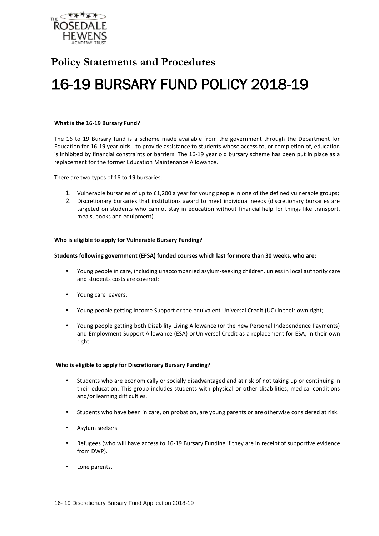

# **Policy Statements and Procedures**

# 16-19 BURSARY FUND POLICY 2018-19

#### **What is the 16-19 Bursary Fund?**

The 16 to 19 Bursary fund is a scheme made available from the government through the Department for Education for 16-19 year olds - to provide assistance to students whose access to, or completion of, education is inhibited by financial constraints or barriers. The 16-19 year old bursary scheme has been put in place as a replacement for the former Education Maintenance Allowance.

There are two types of 16 to 19 bursaries:

- 1. Vulnerable bursaries of up to £1,200 a year for young people in one of the defined vulnerable groups;
- 2. Discretionary bursaries that institutions award to meet individual needs (discretionary bursaries are targeted on students who cannot stay in education without financial help for things like transport, meals, books and equipment).

# **Who is eligible to apply for Vulnerable Bursary Funding?**

#### **Students following government (EFSA) funded courses which last for more than 30 weeks, who are:**

- Young people in care, including unaccompanied asylum-seeking children, unless in local authority care and students costs are covered;
- Young care leavers;
- Young people getting Income Support or the equivalent Universal Credit (UC) in their own right;
- Young people getting both Disability Living Allowance (or the new Personal Independence Payments) and Employment Support Allowance (ESA) or Universal Credit as a replacement for ESA, in their own right.

# **Who is eligible to apply for Discretionary Bursary Funding?**

- Students who are economically or socially disadvantaged and at risk of not taking up or continuing in their education. This group includes students with physical or other disabilities, medical conditions and/or learning difficulties.
- Students who have been in care, on probation, are young parents or are otherwise considered at risk.
- Asylum seekers
- Refugees (who will have access to 16-19 Bursary Funding if they are in receipt of supportive evidence from DWP).
- Lone parents.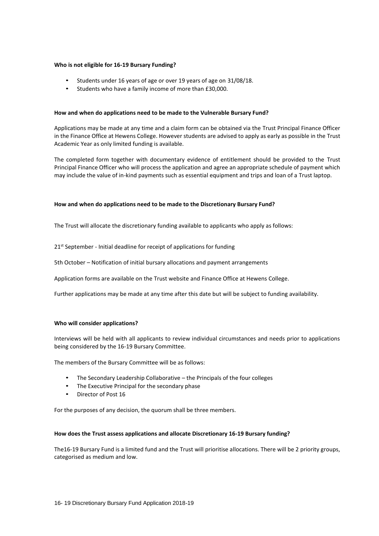## **Who is not eligible for 16-19 Bursary Funding?**

- Students under 16 years of age or over 19 years of age on 31/08/18.
- Students who have a family income of more than £30,000.

#### **How and when do applications need to be made to the Vulnerable Bursary Fund?**

Applications may be made at any time and a claim form can be obtained via the Trust Principal Finance Officer in the Finance Office at Hewens College. However students are advised to apply as early as possible in the Trust Academic Year as only limited funding is available.

The completed form together with documentary evidence of entitlement should be provided to the Trust Principal Finance Officer who will process the application and agree an appropriate schedule of payment which may include the value of in-kind payments such as essential equipment and trips and loan of a Trust laptop.

#### **How and when do applications need to be made to the Discretionary Bursary Fund?**

The Trust will allocate the discretionary funding available to applicants who apply as follows:

21<sup>st</sup> September - Initial deadline for receipt of applications for funding

5th October – Notification of initial bursary allocations and payment arrangements

Application forms are available on the Trust website and Finance Office at Hewens College.

Further applications may be made at any time after this date but will be subject to funding availability.

#### **Who will consider applications?**

Interviews will be held with all applicants to review individual circumstances and needs prior to applications being considered by the 16-19 Bursary Committee.

The members of the Bursary Committee will be as follows:

- The Secondary Leadership Collaborative the Principals of the four colleges
- The Executive Principal for the secondary phase
- Director of Post 16

For the purposes of any decision, the quorum shall be three members.

#### **How does the Trust assess applications and allocate Discretionary 16-19 Bursary funding?**

The16-19 Bursary Fund is a limited fund and the Trust will prioritise allocations. There will be 2 priority groups, categorised as medium and low.